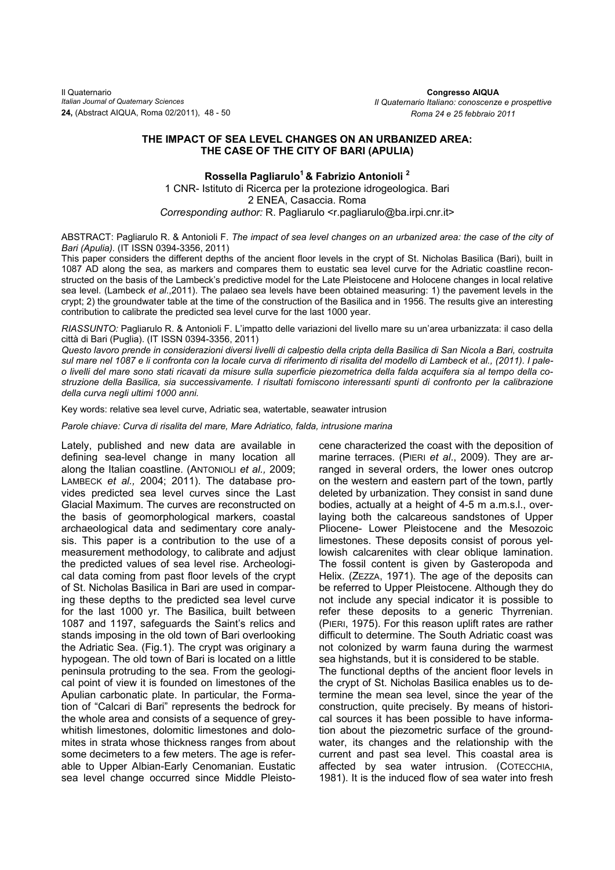## **THE IMPACT OF SEA LEVEL CHANGES ON AN URBANIZED AREA: THE CASE OF THE CITY OF BARI (APULIA)**

**Rossella Pagliarulo1 & Fabrizio Antonioli 2**  1 CNR- Istituto di Ricerca per la protezione idrogeologica. Bari 2 ENEA, Casaccia. Roma *Corresponding author:* R. Pagliarulo <r.pagliarulo@ba.irpi.cnr.it>

ABSTRACT: Pagliarulo R. & Antonioli F. *The impact of sea level changes on an urbanized area: the case of the city of Bari (Apulia).* (IT ISSN 0394-3356, 2011)

This paper considers the different depths of the ancient floor levels in the crypt of St. Nicholas Basilica (Bari), built in 1087 AD along the sea, as markers and compares them to eustatic sea level curve for the Adriatic coastline reconstructed on the basis of the Lambeck's predictive model for the Late Pleistocene and Holocene changes in local relative sea level. (Lambeck *et al*.,2011). The palaeo sea levels have been obtained measuring: 1) the pavement levels in the crypt; 2) the groundwater table at the time of the construction of the Basilica and in 1956. The results give an interesting contribution to calibrate the predicted sea level curve for the last 1000 year.

*RIASSUNTO:* Pagliarulo R. & Antonioli F. L'impatto delle variazioni del livello mare su un'area urbanizzata: il caso della città di Bari (Puglia). (IT ISSN 0394-3356, 2011)

 *della curva negli ultimi 1000 anni. Questo lavoro prende in considerazioni diversi livelli di calpestio della cripta della Basilica di San Nicola a Bari, costruita sul mare nel 1087 e li confronta con la locale curva di riferimento di risalita del modello di Lambeck et al., (2011). I paleo livelli del mare sono stati ricavati da misure sulla superficie piezometrica della falda acquifera sia al tempo della costruzione della Basilica, sia successivamente. I risultati forniscono interessanti spunti di confronto per la calibrazione* 

Key words: relative sea level curve, Adriatic sea, watertable, seawater intrusion

*Parole chiave: Curva di risalita del mare, Mare Adriatico, falda, intrusione marina* 

Lately, published and new data are available in defining sea-level change in many location all along the Italian coastline. (ANTONIOLI *et al.,* 2009; LAMBECK *et al.,* 2004; 2011). The database provides predicted sea level curves since the Last Glacial Maximum. The curves are reconstructed on the basis of geomorphological markers, coastal archaeological data and sedimentary core analysis. This paper is a contribution to the use of a measurement methodology, to calibrate and adjust the predicted values of sea level rise. Archeological data coming from past floor levels of the crypt of St. Nicholas Basilica in Bari are used in comparing these depths to the predicted sea level curve for the last 1000 yr. The Basilica, built between 1087 and 1197, safeguards the Saint's relics and stands imposing in the old town of Bari overlooking the Adriatic Sea. (Fig.1). The crypt was originary a hypogean. The old town of Bari is located on a little peninsula protruding to the sea. From the geological point of view it is founded on limestones of the Apulian carbonatic plate. In particular, the Formation of "Calcari di Bari" represents the bedrock for the whole area and consists of a sequence of greywhitish limestones, dolomitic limestones and dolomites in strata whose thickness ranges from about some decimeters to a few meters. The age is referable to Upper Albian-Early Cenomanian. Eustatic sea level change occurred since Middle Pleisto-

cene characterized the coast with the deposition of marine terraces. (PIERI *et al*., 2009). They are arranged in several orders, the lower ones outcrop on the western and eastern part of the town, partly deleted by urbanization. They consist in sand dune bodies, actually at a height of 4-5 m a.m.s.l., overlaying both the calcareous sandstones of Upper Pliocene- Lower Pleistocene and the Mesozoic limestones. These deposits consist of porous yellowish calcarenites with clear oblique lamination. The fossil content is given by Gasteropoda and Helix. (ZEZZA, 1971). The age of the deposits can be referred to Upper Pleistocene. Although they do not include any special indicator it is possible to refer these deposits to a generic Thyrrenian. (PIERI, 1975). For this reason uplift rates are rather difficult to determine. The South Adriatic coast was not colonized by warm fauna during the warmest sea highstands, but it is considered to be stable. The functional depths of the ancient floor levels in the crypt of St. Nicholas Basilica enables us to determine the mean sea level, since the year of the construction, quite precisely. By means of historical sources it has been possible to have information about the piezometric surface of the groundwater, its changes and the relationship with the current and past sea level. This coastal area is affected by sea water intrusion. (COTECCHIA, 1981). It is the induced flow of sea water into fresh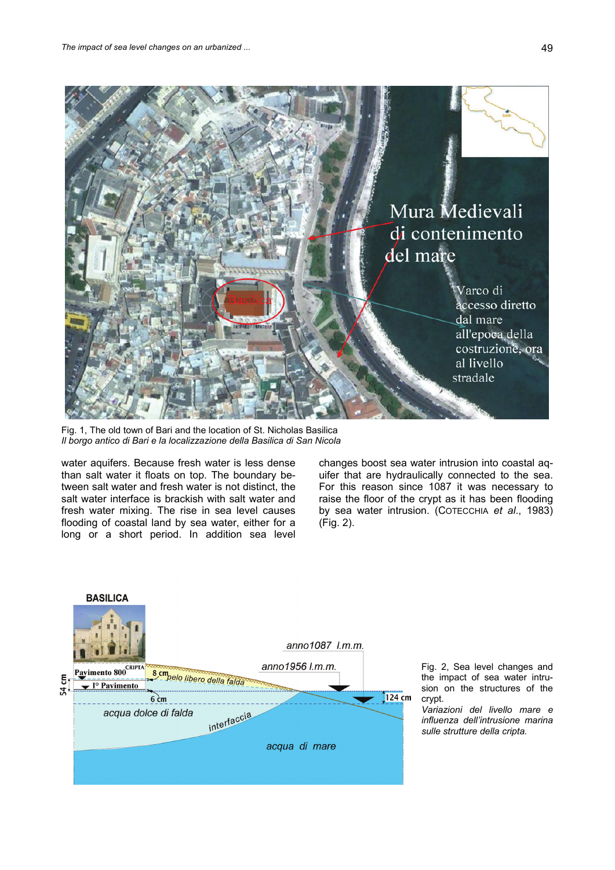

Fig. 1, The old town of Bari and the location of St. Nicholas Basilica *Il borgo antico di Bari e la localizzazione della Basilica di San Nicola*

water aquifers. Because fresh water is less dense than salt water it floats on top. The boundary between salt water and fresh water is not distinct, the salt water interface is brackish with salt water and fresh water mixing. The rise in sea level causes flooding of coastal land by sea water, either for a long or a short period. In addition sea level changes boost sea water intrusion into coastal aquifer that are hydraulically connected to the sea. For this reason since 1087 it was necessary to raise the floor of the crypt as it has been flooding by sea water intrusion. (COTECCHIA *et al*., 1983) (Fig. 2).



Fig. 2, Sea level changes and the impact of sea water intrusion on the structures of the crypt.

*Variazioni del livello mare e influenza dell'intrusione marina sulle strutture della cripta.*